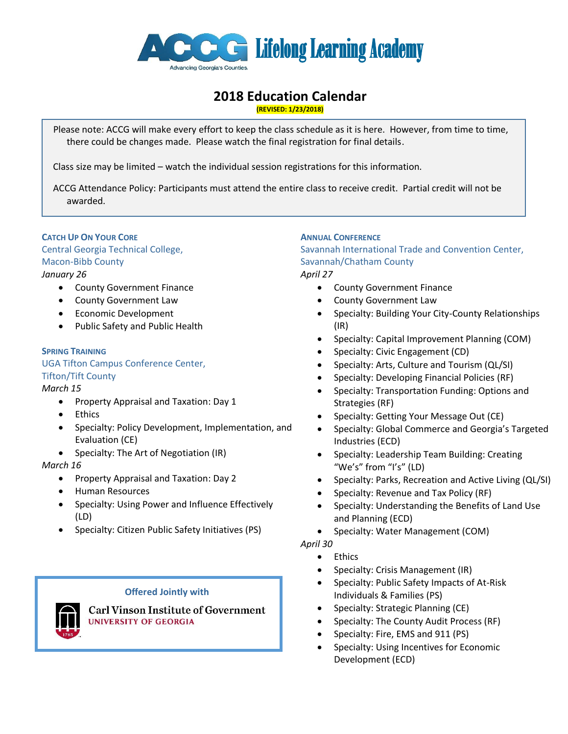

# **2018 Education Calendar**

**(REVISED: 1/23/2018)**

 Please note: ACCG will make every effort to keep the class schedule as it is here. However, from time to time, there could be changes made. Please watch the final registration for final details.

Class size may be limited – watch the individual session registrations for this information.

 ACCG Attendance Policy: Participants must attend the entire class to receive credit. Partial credit will not be awarded.

# **CATCH UP ON YOUR CORE**

Central Georgia Technical College, Macon-Bibb County *January 26*

- County Government Finance
- County Government Law
- **•** Economic Development
- Public Safety and Public Health

# **SPRING TRAINING**

UGA Tifton Campus Conference Center, Tifton/Tift County

# *March 15*

- Property Appraisal and Taxation: Day 1
- Ethics
- Specialty: Policy Development, Implementation, and Evaluation (CE)
- Specialty: The Art of Negotiation (IR)

# *March 16*

- **•** Property Appraisal and Taxation: Day 2
- Human Resources
- Specialty: Using Power and Influence Effectively (LD)
- Specialty: Citizen Public Safety Initiatives (PS)

# **Offered Jointly with**



**Carl Vinson Institute of Government** UNIVERSITY OF GEORGIA

# **ANNUAL CONFERENCE**

Savannah International Trade and Convention Center, Savannah/Chatham County

*April 27*

- County Government Finance
- County Government Law
- Specialty: Building Your City-County Relationships (IR)
- Specialty: Capital Improvement Planning (COM)
- Specialty: Civic Engagement (CD)
- Specialty: Arts, Culture and Tourism (QL/SI)
- Specialty: Developing Financial Policies (RF)
- Specialty: Transportation Funding: Options and Strategies (RF)
- Specialty: Getting Your Message Out (CE)
- Specialty: Global Commerce and Georgia's Targeted Industries (ECD)
- Specialty: Leadership Team Building: Creating "We's" from "I's" (LD)
- Specialty: Parks, Recreation and Active Living (QL/SI)
- Specialty: Revenue and Tax Policy (RF)
- Specialty: Understanding the Benefits of Land Use and Planning (ECD)
- Specialty: Water Management (COM)

# *April 30*

- Ethics
- Specialty: Crisis Management (IR)
- Specialty: Public Safety Impacts of At-Risk Individuals & Families (PS)
- Specialty: Strategic Planning (CE)
- Specialty: The County Audit Process (RF)
- Specialty: Fire, EMS and 911 (PS)
- Specialty: Using Incentives for Economic Development (ECD)